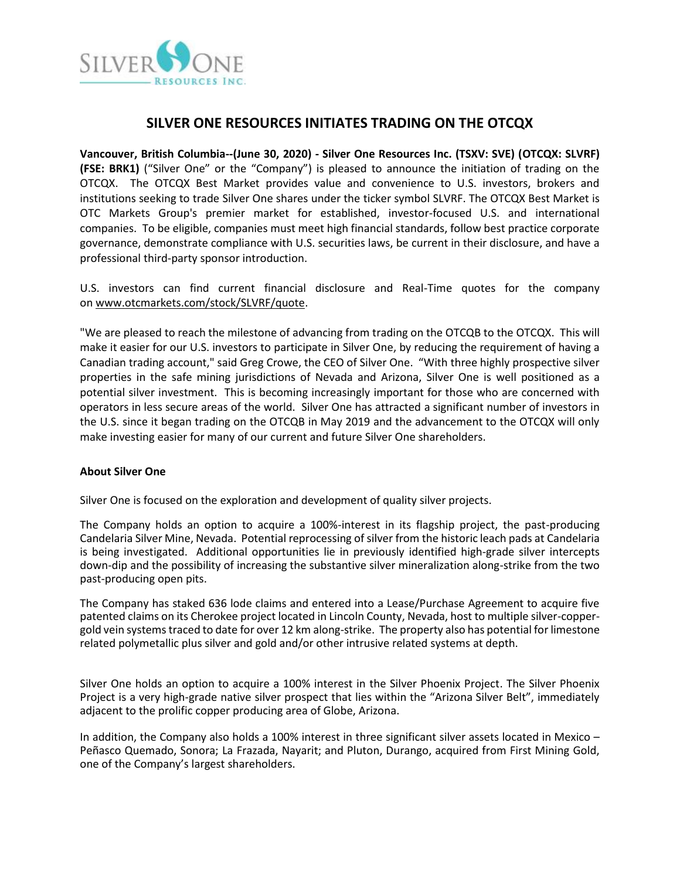

## **SILVER ONE RESOURCES INITIATES TRADING ON THE OTCQX**

**Vancouver, British Columbia--(June 30, 2020) - Silver One Resources Inc. (TSXV: SVE) (OTCQX: SLVRF) (FSE: BRK1)** ("Silver One" or the "Company") is pleased to announce the initiation of trading on the OTCQX. The OTCQX Best Market provides value and convenience to U.S. investors, brokers and institutions seeking to trade Silver One shares under the ticker symbol SLVRF. The OTCQX Best Market is OTC Markets Group's premier market for established, investor-focused U.S. and international companies. To be eligible, companies must meet high financial standards, follow best practice corporate governance, demonstrate compliance with U.S. securities laws, be current in their disclosure, and have a professional third-party sponsor introduction.

U.S. investors can find current financial disclosure and Real-Time quotes for the company on [www.otcmarkets.com/stock/SLVRF/quote.](http://www.otcmarkets.com/stock/SLVRF/quote)

"We are pleased to reach the milestone of advancing from trading on the OTCQB to the OTCQX. This will make it easier for our U.S. investors to participate in Silver One, by reducing the requirement of having a Canadian trading account," said Greg Crowe, the CEO of Silver One. "With three highly prospective silver properties in the safe mining jurisdictions of Nevada and Arizona, Silver One is well positioned as a potential silver investment. This is becoming increasingly important for those who are concerned with operators in less secure areas of the world. Silver One has attracted a significant number of investors in the U.S. since it began trading on the OTCQB in May 2019 and the advancement to the OTCQX will only make investing easier for many of our current and future Silver One shareholders.

## **About Silver One**

Silver One is focused on the exploration and development of quality silver projects.

The Company holds an option to acquire a 100%-interest in its flagship project, the past-producing Candelaria Silver Mine, Nevada. Potential reprocessing of silver from the historic leach pads at Candelaria is being investigated. Additional opportunities lie in previously identified high-grade silver intercepts down-dip and the possibility of increasing the substantive silver mineralization along-strike from the two past-producing open pits.

The Company has staked 636 lode claims and entered into a Lease/Purchase Agreement to acquire five patented claims on its Cherokee project located in Lincoln County, Nevada, host to multiple silver-coppergold vein systemstraced to date for over 12 km along-strike. The property also has potential for limestone related polymetallic plus silver and gold and/or other intrusive related systems at depth.

Silver One holds an option to acquire a 100% interest in the Silver Phoenix Project. The Silver Phoenix Project is a very high-grade native silver prospect that lies within the "Arizona Silver Belt", immediately adjacent to the prolific copper producing area of Globe, Arizona.

In addition, the Company also holds a 100% interest in three significant silver assets located in Mexico – Peñasco Quemado, Sonora; La Frazada, Nayarit; and Pluton, Durango, acquired from First Mining Gold, one of the Company's largest shareholders.